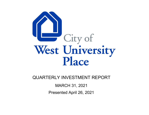

QUARTERLY INVESTMENT REPORT

MARCH 31, 2021

Presented April 26, 2021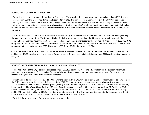## **ECONOMIC SUMMARY ‐ March 2021**

‐ The Federal Reserve convened twice during the first quarter. The overnight funds target rate remains unchanged at 0.25%. The last decrease from 1.25% to 0.25% was during the first quarter of 2020. The current rate is <sup>a</sup> direct result of the COVID‐19 pandemic affecting the United States and the world. The latest guidance from the Federal Reserve is that the rate will stay at the current level until labor market conditions have reached levels consistent with the committee's analysis of maximum employment and inflation has risen to 2% and is on track to exceed 2%. Market consensus is that rates will remain near the current levels through 2021 and possibly through 2022.

‐ Metro Houston lost 233,000 jobs from February 2020 to February 2021 which was <sup>a</sup> decrease of 7.3%. The national average during the same time period was 5.9%. The Bureau of Labor Statistics noted that in regards to the 12 largest metropolitan areas in the country, Houston ranked 7th in the least percentage job loss. The unemployment rate for the Houston MSA for February 2021 was 8.4% compared to 7.5% for the State and 6.6% nationwide. Note that the unemployment rate has decreased since the onset of COVID‐19 as compared to the second quarter of 2020 (Houston ‐ 13.9%, State ‐ 13.0%, Nationwide ‐ 13.3%).

‐ Consumer Price Index for the Houston MSA core based statistical area increased by 0.9% for the two months ending in February 2021 and increased 1.0% over last year, for all items. Excluding energy (motor fuels and electricity) and food, CPI is unchanged compared to last year.

# **PORTFOLIO TRANSACTIONS ‐ For the Quarter Ended March 2021**

‐ Total Book Value of the City's portfolio decreased by \$14,502,191 from \$64.3 million to \$49.8 million for the quarter, which was primarily due to <sup>a</sup> payment of \$17.6 million for the Buffalo Speedway project. Note that the City receives most of its property tax receipts during the first and fourth quarters of each year.

‐ Investments in TexPool decreased by \$24,100,131 for the quarter, from \$40.7 million to \$16.6 million, which was due to payments for the Buffalo Speedway project, partial defeasance of the 2017 GO bonds, debt service, and easement aquisition. Investments in TexasClass increased by \$5,001,861 for the quarter, from \$10.7 to \$15.7 million, which was due to the proceeds of <sup>a</sup> matured security being transferred into TexasClass. Cash in JP Morgan Chase Bank decreased by \$430,819 for the quarter, from \$1.7 million to \$1.3 million mainly due to timing differences for operating cash needs at the end of each period. Investments in securities increased by \$5,026,898 from \$11.1 million to \$16.2 million due to a matured security. The City's average yield to maturity decreased from 0.113% in December to 0.078% in March mainly as <sup>a</sup> result of the overall economic situation.

‐ The full listing of transactions for the quarter can be found in the report.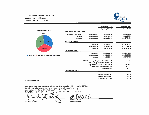### **CITY OF WEST UNIVERSITY PLACE**

**Monthly Investment Report** Period Ending: March 31, 2021



|                                                           |                                  |                     | December 31, 2020                           | March 31, 2021        |
|-----------------------------------------------------------|----------------------------------|---------------------|---------------------------------------------|-----------------------|
|                                                           |                                  |                     | <b>Beginning Balance</b>                    | <b>Ending Balance</b> |
| <b>SECURITY SECTOR</b>                                    | <b>CASH AND INVESTMENT POOLS</b> |                     |                                             |                       |
| 2.62%                                                     | JPMorgan Chase Bank *            | <b>Market Value</b> | 1,731,899.63                                | 1,301,080.56          |
|                                                           | <b>TexPool</b>                   | <b>Market Value</b> | 40,727,097.31                               | 16,626,966.19         |
|                                                           | <b>TexasClass</b>                | Market Value        | 10,701,889.40                               | 15,703,750.19         |
| 31,64%<br>32.24%                                          | <b>AGENCY SECURITIES</b>         |                     |                                             |                       |
|                                                           |                                  | <b>Book Value</b>   | 11,149,253.17                               | 16,176,151.41         |
|                                                           |                                  | <b>Market Value</b> | 11,137,380.00                               | 16,177,110.00         |
| 33.50%                                                    |                                  | Par Value           | 11,000,000.00                               | 16,000,000.00         |
|                                                           | <b>TOTAL PORTFOLIO</b>           |                     |                                             |                       |
|                                                           |                                  | <b>Book Value</b>   | 64,310,139.51                               | 49,807,948.35         |
| <b>Example 3 Texpool E US Agency</b><br><b>■ JPMorgan</b> |                                  | <b>Market Value</b> | 64,298,266.34                               | 49,808,906.94         |
|                                                           |                                  | Par Value           | 64,160,886.34                               | 49,631,796.94         |
|                                                           |                                  |                     | Weighted Average Call/Maturity (in Days) ** | 72                    |
|                                                           |                                  |                     | Weighted Average Maturity (in Days) **      | 72                    |
|                                                           |                                  |                     | Weighted Average Yield to Maturity **       | 0.0780%               |
|                                                           |                                  |                     | Earnings / Current Year to Date             | 12,061.32             |
|                                                           |                                  |                     | <b>Accrued Interest</b>                     | 3,460.21              |
|                                                           | <b>COMPARATIVE YIELDS</b>        |                     |                                             |                       |
|                                                           |                                  |                     | Treasury Bill / 3 Month                     | 0.03%                 |
|                                                           |                                  |                     | Treasury Bill / 6 Month                     | 0.05%                 |
|                                                           |                                  |                     | Treasury Note / 2 Year                      | 0.15%                 |

\* Bank Statement Balance

This report is presented in accordance with the Texas Government Code Title 10 / Section 2256.023. The below signed hereby gestify that, to the best of their knowledge on the date this report was generated, the City of West University Place is in compliance with the provisions of Government Code 2256 and with the stated policies and strategies of the City of West University Place.

Darla Steubing **Fiscal Services Officer** 

Katherine DuBose **Finance Director**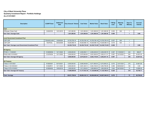## **As of 3/31/2021 City of West University Place Quarterly Investment Report - Portfolio Holdings**

| <b>Description</b>                                   | <b>CUSIP/Ticker</b> | <b>Settlement</b><br><b>Date</b> | Face Amount/ Shares | <b>Cost Value</b> | <b>Market Value</b> | <b>Book Value</b> | YTM @<br>Cost | <b>Maturity</b><br><b>Date</b> | Days To<br><b>Maturity</b> | <b>Accrued</b><br><b>Interest</b> |  |  |
|------------------------------------------------------|---------------------|----------------------------------|---------------------|-------------------|---------------------|-------------------|---------------|--------------------------------|----------------------------|-----------------------------------|--|--|
| Cash                                                 |                     |                                  |                     |                   |                     |                   |               |                                |                            |                                   |  |  |
| JPMorgan Chase Cash                                  | <b>CASH8159</b>     | 12/31/2015                       | 1,301,080.56        | 1,301,080.56      | 1,301,080.56        | 1,301,080.56      | 0.000         | N/A                            | -1                         |                                   |  |  |
| Sub Total / Average Cash                             |                     |                                  | 1,301,080.56        | 1,301,080.56      | 1,301,080.56        | 1,301,080.56      | 0.000         |                                |                            | 0.00                              |  |  |
|                                                      |                     |                                  |                     |                   |                     |                   |               |                                |                            |                                   |  |  |
| Local Government Investment Pool                     |                     |                                  |                     |                   |                     |                   |               |                                |                            |                                   |  |  |
| GIP LGIP                                             | <b>TEXASCLASS</b>   | 10/26/2020                       | 15,703,750.19       | 15,703,750.19     | 15,703,750.19       | 15,703,750.19     | 0.037         | N/A                            | $\overline{1}$             |                                   |  |  |
| GIP LGIP                                             | <b>TEXPOOL</b>      | 09/30/2008                       | 16,626,966.19       | 16,626,966.19     | 16,626,966.19       | 16,626,966.19     | 0.019         | N/A                            | -1                         |                                   |  |  |
| Sub Total / Average Local Government Investment Pool |                     |                                  | 32,330,716.38       | 32.330.716.38     | 32,330,716.38       | 32,330,716.38     | 0.028         |                                | -1                         | 0.00                              |  |  |
|                                                      |                     |                                  |                     |                   |                     |                   |               |                                |                            |                                   |  |  |
| <b>US Agency</b>                                     |                     |                                  |                     |                   |                     |                   |               |                                |                            |                                   |  |  |
| FFCB 0.1 11/30/2021                                  | 3133EMHS4           | 12/11/2020                       | 2,000,000.00        | 2,000,058.11      | 2,000,240.00        | 2.000.039.79      | 0.097         | 11/30/2021                     | 244                        | 666.67                            |  |  |
| FHLB 2.625 12/10/2021                                | 313376C94           | 12/11/2020                       | 3,000,000.00        | 3,075,564.90      | 3,051,930.00        | 3,052,411.31      | 0.097         | 12/10/2021                     | 254                        | 24.281.25                         |  |  |
| Sub Total / Average US Agency                        |                     |                                  | 5.000.000.00        | 5,075,623.01      | 5,052,170.00        | 5,052,451.10      | 0.097         |                                | 250                        | 24,947.92                         |  |  |
|                                                      |                     |                                  |                     |                   |                     |                   |               |                                |                            |                                   |  |  |
| <b>US Treasury</b>                                   |                     |                                  |                     |                   |                     |                   |               |                                |                            |                                   |  |  |
| T-Note 2 12/31/2021                                  | 912828U81           | 02/10/2021                       | 5,000,000.00        | 5.085.546.88      | 5.071.900.00        | 5.072.609.23      | 0.070         | 12/31/2021                     | 275                        | 24.861.88                         |  |  |
| F-Note 2.125 9/30/2021                               | 912828F21           | 12/11/2020                       | 5,000,000.00        | 5,081,329.10      | 5,052,150.00        | 5,050,795.99      | 0.096         | 09/30/2021                     | 183                        | 0.00                              |  |  |
| T-Note 2.375 4/15/2021                               | 9128284G2           | 10/02/2019                       | 1,000,000.00        | 1,011,036.20      | 1,000,890.00        | 1,000,295.09      | 1.644         | 04/15/2021                     | 15                         | 10,896.29                         |  |  |
| Sub Total / Average US Treasury                      |                     |                                  | 11,000,000.00       | 11,177,912.18     | 11,124,940.00       | 11,123,700.31     | 0.225         |                                | 210                        | 35,758.17                         |  |  |
|                                                      |                     |                                  |                     |                   |                     |                   |               |                                |                            |                                   |  |  |
| <b>Total / Average</b>                               |                     |                                  | 49.631.796.94       | 49.885.332.13     | 49.808.906.94       | 49.807.948.35     | 0.078         |                                | 72                         | 60.706.09                         |  |  |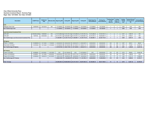#### **City of West University Place Quarterly Investment Report - Summary Page Begin Date: 12/31/2020, End Date: 3/31/2021**

| <b>Description</b>                                 | <b>CUSIP/Ticker</b> | <b>Settlement</b><br>Date |            | Maturity Date Beginning MV | <b>Ending MV</b> | <b>Beginning BV</b> | <b>Ending BV</b> | <b>Beginning Face</b><br><b>Amount/Shares</b> | <b>Ending Face</b><br>Amount/Shares | <b>Ending Days</b><br>To Call/<br><b>Maturity</b> | <b>Ending</b><br>Days To<br><b>Maturity</b> | Ending<br>YTM @<br>Cost | <b>Interest Earned</b><br><b>During Period-</b><br><b>BV</b> | <b>Ending Market</b><br><b>Accrued Interest</b> |
|----------------------------------------------------|---------------------|---------------------------|------------|----------------------------|------------------|---------------------|------------------|-----------------------------------------------|-------------------------------------|---------------------------------------------------|---------------------------------------------|-------------------------|--------------------------------------------------------------|-------------------------------------------------|
| Cash                                               |                     |                           |            |                            |                  |                     |                  |                                               |                                     |                                                   |                                             |                         |                                                              |                                                 |
| JPMorgan Chase Cash                                | CASH8159            | 12/31/2015                | N/A        | 1,731,899.63               | 1,301,080.56     | 1,731,899.63        | 1,301,080.56     | 1,731,899.63                                  | 1,301,080.56                        |                                                   |                                             | 0.000                   | 0.00                                                         | N/A                                             |
| Sub Total/Average Cash                             |                     |                           |            | 1,731,899.63               | 1,301,080.56     | 1,731,899.63        | 1,301,080.56     | 1,731,899.63                                  | 1,301,080.56                        |                                                   |                                             | 0.000                   | 0.00                                                         | 0.00                                            |
|                                                    |                     |                           |            |                            |                  |                     |                  |                                               |                                     |                                                   |                                             |                         |                                                              |                                                 |
| <b>Local Government Investment Pool</b>            |                     |                           |            |                            |                  |                     |                  |                                               |                                     |                                                   |                                             |                         |                                                              |                                                 |
| <b>LGIP LGIP</b>                                   | <b>TEXASCLASS</b>   | 10/26/2020                | N/A        | 10,701,889.40              | 15,703,750.19    | 10,701,889.40       | 15,703,750.19    | 10,701,889.40                                 | 15,703,750.19                       |                                                   |                                             | 0.037                   | 1.860.79                                                     | N/A                                             |
| <b>LGIP LGIP</b>                                   | <b>TEXPOOL</b>      | 09/30/2008                | N/A        | 40,727,097.3               | 16,626,966.19    | 40,727,097.3        | 16,626,966.19    | 40,727,097.31                                 | 16,626,966.19                       |                                                   |                                             | 0.019                   | 2,982.91                                                     | N/A                                             |
| Sub Total/Average Local Government Investment Pool |                     |                           |            | 51.428.986.71              | 32,330,716.38    | 51,428,986.71       | 32,330,716.38    | 51,428,986.71                                 | 32,330,716.38                       |                                                   |                                             | 0.028                   | 4.843.70                                                     | 0.00                                            |
|                                                    |                     |                           |            |                            |                  |                     |                  |                                               |                                     |                                                   |                                             |                         |                                                              |                                                 |
| <b>US Agency</b>                                   |                     |                           |            |                            |                  |                     |                  |                                               |                                     |                                                   |                                             |                         |                                                              |                                                 |
| FFCB 0.1 11/30/2021                                | 3133EMHS4           | 12/11/2020                | 11/30/2021 | 2,000,080.00               | 2,000,240.00     | 2,000,054.78        | 2,000,039.79     | 2,000,000.00                                  | 2,000,000.00                        | 244                                               | 244                                         | 0.097                   | 485.01                                                       | 666.67                                          |
| FHLB 2.625 12/10/2021                              | 313376C94           | 12/11/2020                | 12/10/2021 | 3,070,890.00               | 3,051,930.00     | 3,071,355.16        | 3,052,411.31     | 3,000,000.00                                  | 3.000.000.00                        | 254                                               | 254                                         | 0.097                   | 743.65                                                       | 24.281.25                                       |
| Sub Total/Average US Agency                        |                     |                           |            | 5,070,970.00               | 5,052,170.00     | 5,071,409.94        | 5,052,451.10     | 5,000,000.00                                  | 5,000,000.00                        | 250                                               | 250                                         | 0.097                   | 1,228.66                                                     | 24,947.92                                       |
|                                                    |                     |                           |            |                            |                  |                     |                  |                                               |                                     |                                                   |                                             |                         |                                                              |                                                 |
| <b>US Treasury</b>                                 |                     |                           |            |                            |                  |                     |                  |                                               |                                     |                                                   |                                             |                         |                                                              |                                                 |
| T-Note 2 12/31/2021                                | 912828U81           | 02/10/2021                | 12/31/2021 | 0.00                       | 5,071,900.00     | 0.00                | 5,072,609.23     | 0.00                                          | 5,000,000.00                        | 275                                               | 275                                         | 0.070                   | 598.26                                                       | 24.861.88                                       |
| T-Note 2.125 9/30/2021                             | 912828F21           | 12/11/2020                | 09/30/2021 | 5,060,000.00               | 5,052,150.00     | 5,075,777.63        | 5,050,795.99     | 5,000,000.00                                  | 5,000,000.00                        | 183                                               | 183                                         | 0.096                   | 1,288.96                                                     | 0.00                                            |
| T-Note 2.375 4/15/2021                             | 9128284G2           | 10/02/2019                | 04/15/2021 | 1.006.410.00               | 1,000,890.00     | 1,002,065.60        | 1,000,295.09     | 1,000,000.00                                  | 1.000.000.00                        | 15                                                | 15                                          | 1.644                   | 4.101.74                                                     | 10.896.29                                       |
| Sub Total/Average US Treasury                      |                     |                           |            | 6.066.410.00               | 11,124,940.00    | 6,077,843.23        | 11,123,700.31    | 6,000,000.00                                  | 11.000.000.00                       | 210                                               | 210                                         | 0.224                   | 5,988.96                                                     | 35.758.17                                       |
|                                                    |                     |                           |            |                            |                  |                     |                  |                                               |                                     |                                                   |                                             |                         |                                                              |                                                 |
| <b>Total / Average</b>                             |                     |                           |            | 64.298.266.34              | 49.808.906.94    | 64.310.139.51       | 49.807.948.35    | 64.160.886.34                                 | 49.631.796.94                       | 72                                                | 72                                          | 0.078                   | 12.061.32                                                    | 60.706.09                                       |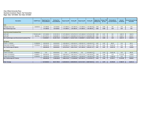#### **City of West University Place Quarterly Investment Report - By Transaction Begin Date: 12/31/2020, End Date: 3/31/2021**

| <b>Description</b>                                 | <b>CUSIP/Ticker</b> | <b>Beginning Face</b><br>Amount/Shares | <b>Ending Face</b><br>Amount/Shares | <b>Beginning MV</b> | <b>Ending MV</b>            | <b>Beginning BV</b> | <b>Ending BV</b> | YTM @ Cost | Beginning   Ending YTM<br>@ Cost | <b>Ending Market</b><br><b>Accrued Interest</b> | <b>Interest/</b><br><b>Dividends</b> | <b>Interest Earned During</b><br>Period-BV |
|----------------------------------------------------|---------------------|----------------------------------------|-------------------------------------|---------------------|-----------------------------|---------------------|------------------|------------|----------------------------------|-------------------------------------------------|--------------------------------------|--------------------------------------------|
| Cash                                               |                     |                                        |                                     |                     |                             |                     |                  |            |                                  |                                                 |                                      |                                            |
| JPMorgan Chase Cash                                | <b>CASH8159</b>     | 1,731,899.63                           | 1,301,080.56                        | 1,731,899.63        | 1,301,080.56                | 1,731,899.63        | 1,301,080.56     | 0.000      | 0.000                            | N/A                                             | 0.00                                 | 0.00                                       |
| Sub Total/Average Cash                             |                     | 1,731,899.63                           | 1,301,080.56                        | 1,731,899.63        | 1,301,080.56                | 1,731,899.63        | 1,301,080.56     | 0.000      | 0.000                            | 0.00                                            | 0.00                                 | 0.00                                       |
|                                                    |                     |                                        |                                     |                     |                             |                     |                  |            |                                  |                                                 |                                      |                                            |
| <b>Local Government Investment Pool</b>            |                     |                                        |                                     |                     |                             |                     |                  |            |                                  |                                                 |                                      |                                            |
| <b>LGIP LGIP</b>                                   | <b>TEXASCLASS</b>   | 10,701,889.40                          | 15,703,750.19                       | 10,701,889.40       | 15,703,750.19               | 10,701,889.40       | 15,703,750.19    | 0.088      | 0.037                            | N/A                                             | 1,860.79                             | 1,860.79                                   |
| <b>LGIP LGIP</b>                                   | <b>TEXPOOL</b>      | 40,727,097.31                          | 16,626,966.19                       | 40,727,097.31       | 16,626,966.19               | 40,727,097.31       | 16,626,966.19    | 0.091      | 0.019                            | N/A                                             | 2.982.91                             | 2,982.91                                   |
| Sub Total/Average Local Government Investment Pool |                     | 51,428,986.71                          | 32,330,716.38                       | 51,428,986.71       | 32,330,716.38 51,428,986.71 |                     | 32,330,716.38    | 0.090      | 0.028                            | 0.00                                            | 4.843.70                             | 4,843.70                                   |
|                                                    |                     |                                        |                                     |                     |                             |                     |                  |            |                                  |                                                 |                                      |                                            |
| <b>US Agency</b>                                   |                     |                                        |                                     |                     |                             |                     |                  |            |                                  |                                                 |                                      |                                            |
| FFCB 0.1 11/30/2021                                | 3133EMHS4           | 2,000,000.00                           | 2,000,000.00                        | 2,000,080.00        | 2,000,240.00                | 2,000,054.78        | 2,000,039.79     | 0.097      | 0.097                            | 666.67                                          | 0.00                                 | 485.01                                     |
| FHLB 2.625 12/10/2021                              | 313376C94           | 3,000,000.00                           | 3,000,000.00                        | 3,070,890.00        | 3,051,930.00                | 3,071,355.16        | 3,052,411.31     | 0.097      | 0.097                            | 24,281.25                                       | 0.00                                 | 743.65                                     |
| Sub Total/Average US Agency                        |                     | 5,000,000.00                           | 5,000,000.00                        | 5,070,970.00        | 5,052,170.00                | 5,071,409.94        | 5,052,451.10     | 0.097      | 0.097                            | 24,947.92                                       | 0.00                                 | 1,228.66                                   |
|                                                    |                     |                                        |                                     |                     |                             |                     |                  |            |                                  |                                                 |                                      |                                            |
| <b>US Treasury</b>                                 |                     |                                        |                                     |                     |                             |                     |                  |            |                                  |                                                 |                                      |                                            |
| T-Note 2 12/31/2021                                | 912828U81           | 0.00                                   | 5,000,000.00                        | 0.00                | 5,071,900.00                | 0.00                | 5,072,609.23     |            | 0.070                            | 24,861.88                                       | 0.00                                 | 598.26                                     |
| T-Note 2.125 9/30/2021                             | 912828F21           | 5,000,000.00                           | 5,000,000.00                        | 5,060,000.00        | 5,052,150.00                | 5,075,777.63        | 5,050,795.99     | 0.096      | 0.096                            | 0.00                                            | 53,125.00                            | 1.288.96                                   |
| T-Note 2.375 4/15/2021                             | 9128284G2           | 1,000,000.00                           | 1,000,000.00                        | 1,006,410.00        | 1,000,890.00                | 1,002,065.60        | 1,000,295.09     | 1.644      | 1.644                            | 10.896.29                                       | 0.00                                 | 4.101.74                                   |
| Sub Total/Average US Treasury                      |                     | 6,000,000.00                           | 11,000,000.00                       | 6,066,410.00        | 11,124,940.00               | 6,077,843.23        | 11,123,700.31    | 0.353      | 0.224                            | 35,758.17                                       | 53,125.00                            | 5,988.96                                   |
|                                                    |                     |                                        |                                     |                     |                             |                     |                  |            |                                  |                                                 |                                      |                                            |
| <b>Total / Average</b>                             |                     | 64,160,886.34                          | 49.631.796.94                       | 64.298.266.34       | 49.808.906.94               | 64,310,139.51       | 49,807,948.35    | 0.113      | 0.078                            | 60.706.09                                       | 57.968.70                            | 12,061.32                                  |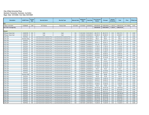#### **City of West University Place Quarterly Transaction Summary - by Action Begin Date: 12/31/2020, End Date: 03/31/2021**

| <b>Description</b>      | <b>CUSIP/Ticker</b> | Coupon<br>Rate | <b>Security Sector</b>                  | <b>Security Type</b>                    | <b>Maturity Date</b> | <b>Settlement</b><br><b>Date</b> | <b>Trade Date</b> | Face Amount/<br><b>Shares</b> | <b>Principal</b> | Interest/<br><b>Dividends</b> | <b>Total</b> | Price      | YTM @ Cost |
|-------------------------|---------------------|----------------|-----------------------------------------|-----------------------------------------|----------------------|----------------------------------|-------------------|-------------------------------|------------------|-------------------------------|--------------|------------|------------|
| <b>Buy</b>              |                     |                |                                         |                                         |                      |                                  |                   |                               |                  |                               |              |            |            |
| T-Note 2 12/31/2021     | 912828U81           | 2.000          | US Treasury                             | <b>Treasury Note</b>                    | 12/31/2021           | 02/10/2021                       | 02/09/2021        | 5,000,000.00                  | 5,085,546.88     | 11,325.97                     | 5,096,872.85 | 101.710938 | 0.070      |
| Sub Total / Average Buy |                     |                |                                         |                                         |                      |                                  |                   | 5,000,000.00                  | 5,085,546.88     | 11,325.97                     | 5,096,872.85 |            |            |
|                         |                     |                |                                         |                                         |                      |                                  |                   |                               |                  |                               |              |            |            |
| <b>Deposit</b>          |                     |                |                                         |                                         |                      |                                  |                   |                               |                  |                               |              |            |            |
| JPMorgan Chase Cash     | <b>CASH8159</b>     | N/A            | Cash                                    | Cash                                    | N/A                  | 03/31/2021                       | 03/31/2021        | 362, 157.31                   | 362.157.31       | 0.00                          | 362.157.31   | 100        | 0.000      |
| JPMorgan Chase Cash     | <b>CASH8159</b>     | N/A            | Cash                                    | Cash                                    | N/A                  | 02/28/2021                       | 02/28/2021        | 340,685.27                    | 340.685.27       | 0.00                          | 340.685.27   | 100        | 0.000      |
| <b>LGIP LGIP</b>        | <b>TEXPOOL</b>      | N/A            | <b>Local Government Investment Pool</b> | <b>Local Government Investment Pool</b> | N/A                  | 03/31/2021                       | 03/31/2021        | 280.71                        | 280.71           | 0.00                          | 280.71       | 100        | 0.000      |
| <b>LGIP LGIP</b>        | <b>TEXASCLASS</b>   | N/A            | Local Government Investment Pool        | Local Government Investment Pool        | N/A                  | 03/31/2021                       | 03/31/2021        | 499.27                        | 499.27           | 0.00                          | 499.27       | 100        | 0.000      |
| <b>LGIP LGIP</b>        | <b>TEXPOOL</b>      | N/A            | <b>Local Government Investment Pool</b> | <b>Local Government Investment Pool</b> | N/A                  | 03/30/2021                       | 03/30/2021        | 15,017.77                     | 15,017.77        | 0.00                          | 15,017.77    | 100        | 0.000      |
| <b>LGIP LGIP</b>        | <b>TEXPOOL</b>      | N/A            | Local Government Investment Pool        | Local Government Investment Pool        | N/A                  | 03/30/2021                       | 03/30/2021        | 28,454.14                     | 28,454.14        | 0.00                          | 28,454.14    | 100        | 0.000      |
| <b>LGIP LGIP</b>        | <b>TEXPOOL</b>      | N/A            | <b>Local Government Investment Pool</b> | <b>Local Government Investment Pool</b> | N/A                  | 03/26/2021                       | 03/26/2021        | 9,301.38                      | 9,301.38         | 0.00                          | 9,301.38     | 100        | 0.000      |
| <b>LGIP LGIP</b>        | <b>TEXPOOL</b>      | N/A            | Local Government Investment Pool        | Local Government Investment Pool        | N/A                  | 03/26/2021                       | 03/26/2021        | 17,708.16                     | 17,708.16        | 0.00                          | 17,708.16    | 100        | 0.000      |
| <b>LGIP LGIP</b>        | <b>TEXPOOL</b>      | N/A            | <b>Local Government Investment Pool</b> | <b>Local Government Investment Pool</b> | N/A                  | 03/23/2021                       | 03/23/2021        | 14,340.22                     | 14,340.22        | 0.00                          | 14,340.22    | 100        | 0.000      |
| <b>LGIP LGIP</b>        | <b>TEXPOOL</b>      | N/A            | Local Government Investment Pool        | Local Government Investment Pool        | N/A                  | 03/23/2021                       | 03/23/2021        | 27,165.48                     | 27, 165.48       | 0.00                          | 27,165.48    | 100        | 0.000      |
| <b>LGIP LGIP</b>        | <b>TEXPOOL</b>      | N/A            | Local Government Investment Pool        | Local Government Investment Pool        | N/A                  | 03/18/2021                       | 03/18/2021        | 14,483.51                     | 14,483.51        | 0.00                          | 14,483.51    | 100        | 0.000      |
| <b>LGIP LGIP</b>        | <b>TEXPOOL</b>      | N/A            | <b>Local Government Investment Pool</b> | <b>Local Government Investment Pool</b> | N/A                  | 03/18/2021                       | 03/18/2021        | 26,962.63                     | 26,962.63        | 0.00                          | 26,962.63    | 100        | 0.000      |
| <b>LGIP LGIP</b>        | <b>TEXPOOL</b>      | N/A            | <b>Local Government Investment Pool</b> | <b>Local Government Investment Pool</b> | N/A                  | 03/15/2021                       | 03/15/2021        | 42,000.58                     | 42,000.58        | 0.00                          | 42,000.58    | 100        | 0.000      |
| <b>LGIP LGIP</b>        | <b>TEXPOOL</b>      | N/A            | Local Government Investment Pool        | <b>Local Government Investment Pool</b> | N/A                  | 03/15/2021                       | 03/15/2021        | 78,144.06                     | 78,144.06        | 0.00                          | 78,144.06    | 100        | 0.000      |
| <b>LGIP LGIP</b>        | <b>TEXPOOL</b>      | N/A            | <b>Local Government Investment Pool</b> | <b>Local Government Investment Pool</b> | N/A                  | 03/11/2021                       | 03/11/2021        | 69.47                         | 69.47            | 0.00                          | 69.47        | 100        | 0.000      |
| LGIP LGIP               | <b>TEXPOOL</b>      | N/A            | Local Government Investment Pool        | Local Government Investment Pool        | N/A                  | 03/09/2021                       | 03/09/2021        | 5,453.50                      | 5,453.50         | 0.00                          | 5,453.50     | 100        | 0.000      |
| <b>LGIP LGIP</b>        | <b>TEXPOOL</b>      | N/A            | <b>Local Government Investment Pool</b> | <b>Local Government Investment Pool</b> | N/A                  | 03/09/2021                       | 03/09/2021        | 10,333.38                     | 10.333.38        | 0.00                          | 10.333.38    | 100        | 0.000      |
| <b>LGIP LGIP</b>        | <b>TEXPOOL</b>      | N/A            | <b>Local Government Investment Pool</b> | <b>Local Government Investment Pool</b> | N/A                  | 03/04/2021                       | 03/04/2021        | 42,900.36                     | 42,900.36        | 0.00                          | 42,900.36    | 100        | 0.000      |
| <b>LGIP LGIP</b>        | <b>TEXPOOL</b>      | N/A            | <b>Local Government Investment Pool</b> | <b>Local Government Investment Pool</b> | N/A                  | 03/04/2021                       | 03/04/2021        | 81,109.24                     | 81.109.24        | 0.00                          | 81.109.24    | 100        | 0.000      |
| <b>LGIP LGIP</b>        | <b>TEXPOOL</b>      | N/A            | Local Government Investment Pool        | Local Government Investment Pool        | N/A                  | 02/26/2021                       | 02/26/2021        | 735.47                        | 735.47           | 0.00                          | 735.47       | 100        | 0.000      |
| <b>LGIP LGIP</b>        | <b>TEXPOOL</b>      | N/A            | <b>Local Government Investment Pool</b> | <b>Local Government Investment Pool</b> | N/A                  | 02/26/2021                       | 02/26/2021        | 21,519.93                     | 21.519.93        | 0.00                          | 21.519.93    | 100        | 0.000      |
| <b>LGIP LGIP</b>        | <b>TEXPOOL</b>      | N/A            | Local Government Investment Pool        | Local Government Investment Pool        | N/A                  | 02/26/2021                       | 02/26/2021        | 40,816.07                     | 40,816.07        | 0.00                          | 40,816.07    | 100        | 0.000      |
| <b>LGIP LGIP</b>        | <b>TEXASCLASS</b>   | N/A            | <b>Local Government Investment Pool</b> | <b>Local Government Investment Pool</b> | N/A                  | 02/26/2021                       | 02/26/2021        | 628.96                        | 628.96           | 0.00                          | 628.96       | 100        | 0.000      |
| LGIP LGIP               | <b>TEXPOOL</b>      | N/A            | Local Government Investment Pool        | Local Government Investment Pool        | N/A                  | 02/24/2021                       | 02/24/2021        | 140.35                        | 140.35           | 0.00                          | 140.35       | 100        | 0.000      |
| <b>LGIP LGIP</b>        | <b>TEXPOOL</b>      | N/A            | Local Government Investment Pool        | Local Government Investment Pool        | N/A                  | 02/22/2021                       | 02/22/2021        | 14,087.04                     | 14,087.04        | 0.00                          | 14,087.04    | 100        | 0.000      |
| <b>LGIP LGIP</b>        | <b>TEXPOOL</b>      | N/A            | <b>Local Government Investment Pool</b> | Local Government Investment Pool        | N/A                  | 02/22/2021                       | 02/22/2021        | 26,692.25                     | 26,692.25        | 0.00                          | 26,692.25    | 100        | 0.000      |
| <b>LGIP LGIP</b>        | <b>TEXPOOL</b>      | N/A            | Local Government Investment Pool        | Local Government Investment Pool        | N/A                  | 02/16/2021                       | 02/16/2021        | 41,212.70                     | 41,212.70        | 0.00                          | 41,212.70    | 100        | 0.000      |
| <b>LGIP LGIP</b>        | <b>TEXPOOL</b>      | N/A            | Local Government Investment Pool        | Local Government Investment Pool        | N/A                  | 02/16/2021                       | 02/16/2021        | 78,289.09                     | 78,289.09        | 0.00                          | 78,289.09    | 100        | 0.000      |
| <b>LGIP LGIP</b>        | <b>TEXPOOL</b>      | N/A            | <b>Local Government Investment Pool</b> | Local Government Investment Pool        | N/A                  | 02/11/2021                       | 02/11/2021        | 176.63                        | 176.63           | 0.00                          | 176.63       | 100        | 0.000      |
| <b>LGIP LGIP</b>        | <b>TEXPOOL</b>      | N/A            | <b>Local Government Investment Pool</b> | <b>Local Government Investment Pool</b> | N/A                  | 02/10/2021                       | 02/10/2021        | 148,781.83                    | 148,781.83       | 0.00                          | 148.781.83   | 100        | 0.000      |
| LGIP LGIP               | <b>TEXPOOL</b>      | N/A            | Local Government Investment Pool        | Local Government Investment Pool        | N/A                  | 02/10/2021                       | 02/10/2021        | 281,842.84                    | 281,842.84       | 0.00                          | 281,842.84   | 100        | 0.000      |
| <b>LGIP LGIP</b>        | <b>TEXPOOL</b>      | N/A            | <b>Local Government Investment Pool</b> | Local Government Investment Pool        | N/A                  | 02/09/2021                       | 02/09/2021        | 528,810.41                    | 528,810.41       | 0.00                          | 528,810.41   | 100        | 0.000      |
| <b>LGIP LGIP</b>        | <b>TEXPOOL</b>      | N/A            | Local Government Investment Pool        | Local Government Investment Pool        | N/A                  | 02/09/2021                       | 02/09/2021        | 1,000,363.82                  | 1,000,363.82     | 0.00                          | 1,000,363.82 | 100        | 0.000      |
| <b>LGIP LGIP</b>        | <b>TEXPOOL</b>      | N/A            | <b>Local Government Investment Pool</b> | <b>Local Government Investment Pool</b> | N/A                  | 02/05/2021                       | 02/05/2021        | 336,054.95                    | 336,054.95       | 0.00                          | 336,054.95   | 100        | 0.000      |
| <b>LGIP LGIP</b>        | <b>TEXPOOL</b>      | N/A            | Local Government Investment Pool        | Local Government Investment Pool        | N/A                  | 02/05/2021                       | 02/05/2021        | 636,345.86                    | 636,345.86       | 0.00                          | 636,345.86   | 100        | 0.000      |
| <b>LGIP LGIP</b>        | <b>TEXPOOL</b>      | N/A            | <b>Local Government Investment Pool</b> | <b>Local Government Investment Pool</b> | N/A                  | 02/04/2021                       | 02/04/2021        | 354,917.88                    | 354,917.88       | 0.00                          | 354,917.88   | 100        | 0.000      |
| <b>LGIP LGIP</b>        | <b>TEXPOOL</b>      | N/A            | Local Government Investment Pool        | <b>Local Government Investment Pool</b> | N/A                  | 02/04/2021                       | 02/04/2021        | 672,500.89                    | 672,500.89       | 0.00                          | 672,500.89   | 100        | 0.000      |
| <b>LGIP LGIP</b>        | <b>TEXPOOL</b>      | N/A            | Local Government Investment Pool        | Local Government Investment Pool        | N/A                  | 02/01/2021                       | 02/01/2021        | 114,225.44                    | 114.225.44       | 0.00                          | 114.225.44   | 100        | 0.000      |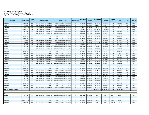#### **City of West University Place Quarterly Transaction Summary - by Action Begin Date: 12/31/2020, End Date: 03/31/2021**

| <b>Description</b>          | <b>CUSIP/Ticker</b> | Coupon<br>Rate | <b>Security Sector</b>                  | <b>Security Type</b>                    | <b>Maturity Date</b> | <b>Settlement</b><br>Date | <b>Trade Date</b> | Face Amount/<br><b>Shares</b> | <b>Principal</b> | Interest/<br><b>Dividends</b> | <b>Total</b>  | Price | YTM @ Cost |
|-----------------------------|---------------------|----------------|-----------------------------------------|-----------------------------------------|----------------------|---------------------------|-------------------|-------------------------------|------------------|-------------------------------|---------------|-------|------------|
| <b>LGIP LGIP</b>            | <b>TEXPOOL</b>      | N/A            | <b>Local Government Investment Pool</b> | <b>Local Government Investment Pool</b> | N/A                  | 02/01/2021                | 02/01/2021        | 215,755.87                    | 215,755.87       | 0.00                          | 215,755.87    | 100   | 0.000      |
| <b>LGIP LGIP</b>            | <b>TEXPOOL</b>      | N/A            | Local Government Investment Pool        | Local Government Investment Pool        | N/A                  | 01/29/2021                | 01/29/2021        | 1,966.73                      | 1,966.73         | 0.00                          | 1,966.73      | 100   | 0.000      |
| <b>LGIP LGIP</b>            | <b>TEXASCLASS</b>   | N/A            | <b>Local Government Investment Pool</b> | <b>Local Government Investment Pool</b> | N/A                  | 01/29/2021                | 01/29/2021        | 732.56                        | 732.56           | 0.00                          | 732.56        | 100   | 0.000      |
| <b>LGIP LGIP</b>            | <b>TEXASCLASS</b>   | N/A            | Local Government Investment Pool        | Local Government Investment Pool        | N/A                  | 01/28/2021                | 01/28/2021        | 5,000,000.00                  | 5,000,000.00     | 0.00                          | 5,000,000.00  | 100   | 0.000      |
| <b>LGIP LGIP</b>            | <b>TEXPOOL</b>      | N/A            | <b>Local Government Investment Pool</b> | <b>Local Government Investment Pool</b> | N/A                  | 01/27/2021                | 01/27/2021        | 80.920.87                     | 80.920.87        | 0.00                          | 80.920.87     | 100   | 0.000      |
| <b>GIP LGIP</b>             | <b>TEXPOOL</b>      | N/A            | Local Government Investment Pool        | Local Government Investment Pool        | N/A                  | 01/27/2021                | 01/27/2021        | 153,329.36                    | 153,329.36       | 0.00                          | 153,329.36    | 100   | 0.000      |
| <b>LGIP LGIP</b>            | <b>TEXPOOL</b>      | N/A            | <b>Local Government Investment Pool</b> | <b>Local Government Investment Pool</b> | N/A                  | 01/26/2021                | 01/26/2021        | 156,022.86                    | 156,022.86       | 0.00                          | 156.022.86    | 100   | 0.000      |
| <b>LGIP LGIP</b>            | <b>TEXPOOL</b>      | N/A            | Local Government Investment Pool        | <b>Local Government Investment Pool</b> | N/A                  | 01/26/2021                | 01/26/2021        | 295,632.89                    | 295,632.89       | 0.00                          | 295,632.89    | 100   | 0.000      |
| <b>LGIP LGIP</b>            | <b>TEXPOOL</b>      | N/A            | <b>Local Government Investment Pool</b> | <b>Local Government Investment Pool</b> | N/A                  | 01/25/2021                | 01/25/2021        | 207.572.08                    | 207,572.08       | 0.00                          | 207.572.08    | 100   | 0.000      |
| <b>LGIP LGIP</b>            | <b>TEXPOOL</b>      | N/A            | Local Government Investment Pool        | Local Government Investment Pool        | N/A                  | 01/25/2021                | 01/25/2021        | 393,308.99                    | 393.308.99       | 0.00                          | 393.308.99    | 100   | 0.000      |
| <b>LGIP LGIP</b>            | <b>TEXPOOL</b>      | N/A            | <b>Local Government Investment Pool</b> | <b>Local Government Investment Pool</b> | N/A                  | 01/22/2021                | 01/22/2021        | 101,665.37                    | 101.665.37       | 0.00                          | 101.665.37    | 100   | 0.000      |
| <b>LGIP LGIP</b>            | <b>TEXPOOL</b>      | N/A            | Local Government Investment Pool        | <b>Local Government Investment Pool</b> | N/A                  | 01/22/2021                | 01/22/2021        | 192,636.18                    | 192,636.18       | 0.00                          | 192,636.18    | 100   | 0.000      |
| <b>LGIP LGIP</b>            | <b>TEXPOOL</b>      | N/A            | Local Government Investment Pool        | Local Government Investment Pool        | N/A                  | 01/21/2021                | 01/21/2021        | 67,885.69                     | 67,885.69        | 0.00                          | 67,885.69     | 100   | 0.000      |
| <b>LGIP LGIP</b>            | <b>TEXPOOL</b>      | N/A            | <b>Local Government Investment Pool</b> | <b>Local Government Investment Pool</b> | N/A                  | 01/21/2021                | 01/21/2021        | 128,695.08                    | 128,695.08       | 0.00                          | 128,695.08    | 100   | 0.000      |
| <b>LGIP LGIP</b>            | <b>TEXPOOL</b>      | N/A            | Local Government Investment Pool        | Local Government Investment Pool        | N/A                  | 01/19/2021                | 01/19/2021        | 171,625.34                    | 171,625.34       | 0.00                          | 171,625.34    | 100   | 0.000      |
| <b>LGIP LGIP</b>            | <b>TEXPOOL</b>      | N/A            | <b>Local Government Investment Pool</b> | <b>Local Government Investment Pool</b> | N/A                  | 01/19/2021                | 01/19/2021        | 325,220.63                    | 325,220.63       | 0.00                          | 325,220.63    | 100   | 0.000      |
| <b>LGIP LGIP</b>            | <b>TEXPOOL</b>      | N/A            | Local Government Investment Pool        | Local Government Investment Pool        | N/A                  | 01/15/2021                | 01/15/2021        | 56.62                         | 56.62            | 0.00                          | 56.62         | 100   | 0.000      |
| <b>LGIP LGIP</b>            | <b>TEXPOOL</b>      | N/A            | <b>Local Government Investment Pool</b> | <b>Local Government Investment Pool</b> | N/A                  | 01/15/2021                | 01/15/2021        | 200,978.01                    | 200,978.01       | 0.00                          | 200.978.01    | 100   | 0.000      |
| <b>LGIP LGIP</b>            | <b>TEXPOOL</b>      | N/A            | Local Government Investment Pool        | Local Government Investment Pool        | N/A                  | 01/15/2021                | 01/15/2021        | 380,449.70                    | 380,449.70       | 0.00                          | 380,449.70    | 100   | 0.000      |
| <b>LGIP LGIP</b>            | <b>TEXPOOL</b>      | N/A            | <b>Local Government Investment Pool</b> | <b>Local Government Investment Pool</b> | N/A                  | 01/14/2021                | 01/14/2021        | 207,509.03                    | 207,509.03       | 0.00                          | 207,509.03    | 100   | 0.000      |
| <b>LGIP LGIP</b>            | <b>TEXPOOL</b>      | N/A            | Local Government Investment Pool        | Local Government Investment Pool        | N/A                  | 01/14/2021                | 01/14/2021        | 392,940.21                    | 392,940.21       | 0.00                          | 392,940.21    | 100   | 0.000      |
| <b>LGIP LGIP</b>            | <b>TEXPOOL</b>      | N/A            | <b>Local Government Investment Pool</b> | <b>Local Government Investment Pool</b> | N/A                  | 01/13/2021                | 01/13/2021        | 136,329.05                    | 136,329.05       | 0.00                          | 136,329.05    | 100   | 0.000      |
| <b>LGIP LGIP</b>            | <b>TEXPOOL</b>      | N/A            | Local Government Investment Pool        | Local Government Investment Pool        | N/A                  | 01/13/2021                | 01/13/2021        | 258,285.84                    | 258,285.84       | 0.00                          | 258,285.84    | 100   | 0.000      |
| <b>LGIP LGIP</b>            | <b>TEXPOOL</b>      | N/A            | Local Government Investment Pool        | <b>Local Government Investment Pool</b> | N/A                  | 01/12/2021                | 01/12/2021        | 819,282.77                    | 819,282.77       | 0.00                          | 819,282.77    | 100   | 0.000      |
| <b>LGIP LGIP</b>            | <b>TEXPOOL</b>      | N/A            | <b>Local Government Investment Pool</b> | <b>Local Government Investment Pool</b> | N/A                  | 01/12/2021                | 01/12/2021        | 1,552,107.31                  | 1,552,107.31     | 0.00                          | 1,552,107.31  | 100   | 0.000      |
| <b>LGIP LGIP</b>            | <b>TEXPOOL</b>      | N/A            | <b>Local Government Investment Pool</b> | <b>Local Government Investment Pool</b> | N/A                  | 01/11/2021                | 01/11/2021        | 162.711.26                    | 162,711.26       | 0.00                          | 162,711.26    | 100   | 0.000      |
| <b>LGIP LGIP</b>            | <b>TEXPOOL</b>      | N/A            | <b>Local Government Investment Pool</b> | <b>Local Government Investment Pool</b> | N/A                  | 01/11/2021                | 01/11/2021        | 308,585.80                    | 308,585.80       | 0.00                          | 308,585.80    | 100   | 0.000      |
| <b>LGIP LGIP</b>            | <b>TEXPOOL</b>      | N/A            | Local Government Investment Pool        | Local Government Investment Pool        | N/A                  | 01/07/2021                | 01/07/2021        | 465,670.35                    | 465.670.35       | 0.00                          | 465.670.35    | 100   | 0.000      |
| <b>LGIP LGIP</b>            | <b>TEXPOOL</b>      | N/A            | <b>Local Government Investment Pool</b> | <b>Local Government Investment Pool</b> | N/A                  | 01/07/2021                | 01/07/2021        | 882,482.41                    | 882,482.41       | 0.00                          | 882,482.41    | 100   | 0.000      |
| <b>LGIP LGIP</b>            | <b>TEXPOOL</b>      | N/A            | <b>Local Government Investment Pool</b> | Local Government Investment Pool        | N/A                  | 01/06/2021                | 01/06/2021        | 240,431.30                    | 240,431.30       | 0.00                          | 240,431.30    | 100   | 0.000      |
| <b>LGIP LGIP</b>            | <b>TEXPOOL</b>      | N/A            | <b>Local Government Investment Pool</b> | <b>Local Government Investment Pool</b> | N/A                  | 01/06/2021                | 01/06/2021        | 455,424.40                    | 455,424.40       | 0.00                          | 455,424.40    | 100   | 0.000      |
| <b>LGIP LGIP</b>            | <b>TEXPOOL</b>      | N/A            | <b>Local Government Investment Pool</b> | <b>Local Government Investment Pool</b> | N/A                  | 01/05/2021                | 01/05/2021        | 171.843.95                    | 171.843.95       | 0.00                          | 171.843.95    | 100   | 0.000      |
| <b>LGIP LGIP</b>            | <b>TEXPOOL</b>      | N/A            | <b>Local Government Investment Pool</b> | <b>Local Government Investment Pool</b> | N/A                  | 01/05/2021                | 01/05/2021        | 325,423.96                    | 325,423.96       | 0.00                          | 325,423.96    | 100   | 0.000      |
| <b>LGIP LGIP</b>            | <b>TEXPOOL</b>      | N/A            | Local Government Investment Pool        | Local Government Investment Pool        | N/A                  | 01/04/2021                | 01/04/2021        | 126,723.20                    | 126,723.20       | 0.00                          | 126,723.20    | 100   | 0.000      |
| <b>LGIP LGIP</b>            | <b>TEXPOOL</b>      | N/A            | Local Government Investment Pool        | <b>Local Government Investment Pool</b> | N/A                  | 01/04/2021                | 01/04/2021        | 239,759.77                    | 239,759.77       | 0.00                          | 239,759.77    | 100   | 0.000      |
| Sub Total / Average Deposit |                     |                |                                         |                                         |                      |                           |                   | 20,235,174.29                 | 20,235,174.29    | 0.00                          | 20,235,174.29 |       |            |
|                             |                     |                |                                         |                                         |                      |                           |                   |                               |                  |                               |               |       |            |
| <b>Interest</b>             |                     |                |                                         |                                         |                      |                           |                   |                               |                  |                               |               |       |            |
| <b>LGIP LGIP</b>            | <b>TEXPOOL</b>      | N/A            | Local Government Investment Pool        | Local Government Investment Pool        | N/A                  | 03/31/2021                | 03/31/2021        | 0.00                          | 0.00             | 280.71                        | 280.71        |       | 0.000      |
| <b>LGIP LGIP</b>            | <b>TEXASCLASS</b>   | N/A            | Local Government Investment Pool        | <b>Local Government Investment Pool</b> | N/A                  | 03/31/2021                | 03/31/2021        | 0.00                          | 0.00             | 499.27                        | 499.27        |       | 0.000      |
| <b>LGIP LGIP</b>            | <b>TEXPOOL</b>      | N/A            | Local Government Investment Pool        | <b>Local Government Investment Pool</b> | N/A                  | 02/26/2021                | 02/26/2021        | 0.00                          | 0.00             | 735.47                        | 735.47        |       | 0.000      |
| <b>LGIP LGIP</b>            | <b>TEXASCLASS</b>   | N/A            | Local Government Investment Pool        | <b>Local Government Investment Pool</b> | N/A                  | 02/26/2021                | 02/26/2021        | 0.00                          | 0.00             | 628.96                        | 628.96        |       | 0.000      |
| <b>LGIP LGIP</b>            | <b>TEXPOOL</b>      | N/A            | <b>Local Government Investment Pool</b> | <b>Local Government Investment Pool</b> | N/A                  | 01/29/2021                | 01/29/2021        | 0.00                          | 0.00             | 1,966.73                      | 1.966.73      |       | 0.000      |